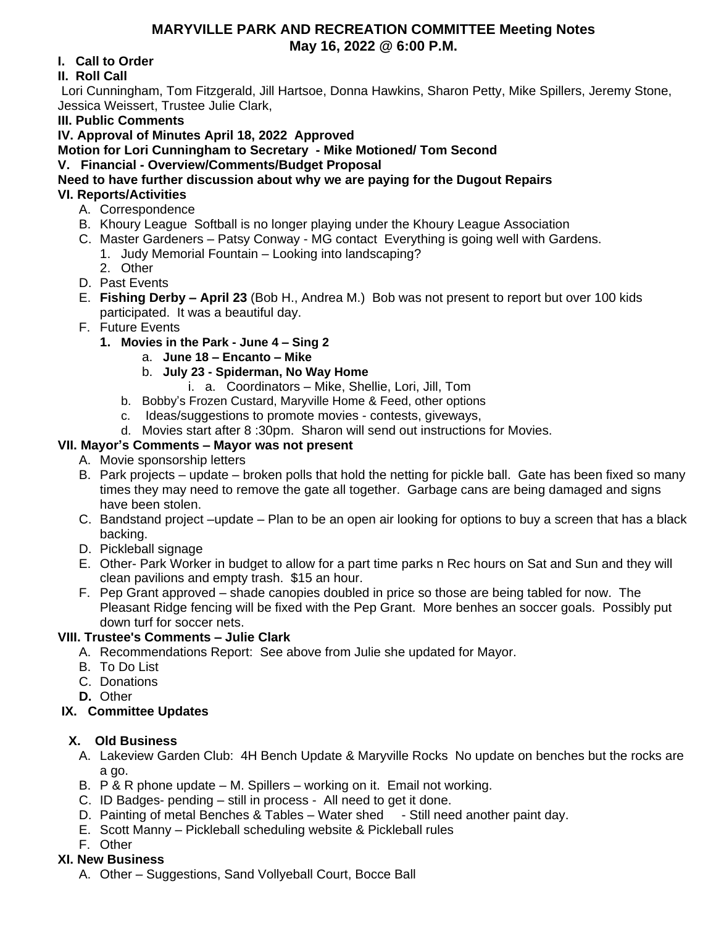### **MARYVILLE PARK AND RECREATION COMMITTEE Meeting Notes May 16, 2022 @ 6:00 P.M.**

### **I. Call to Order**

# **II. Roll Call**

Lori Cunningham, Tom Fitzgerald, Jill Hartsoe, Donna Hawkins, Sharon Petty, Mike Spillers, Jeremy Stone, Jessica Weissert, Trustee Julie Clark,

### **III. Public Comments**

# **IV. Approval of Minutes April 18, 2022 Approved**

**Motion for Lori Cunningham to Secretary - Mike Motioned/ Tom Second**

### **V. Financial - Overview/Comments/Budget Proposal**

**Need to have further discussion about why we are paying for the Dugout Repairs VI. Reports/Activities**

- A. Correspondence
- B. Khoury League Softball is no longer playing under the Khoury League Association
- C. Master Gardeners Patsy Conway MG contact Everything is going well with Gardens.
	- 1. Judy Memorial Fountain Looking into landscaping?
	- 2. Other
- D. Past Events
- E. **Fishing Derby – April 23** (Bob H., Andrea M.) Bob was not present to report but over 100 kids participated. It was a beautiful day.
- F. Future Events
	- **1. Movies in the Park - June 4 – Sing 2**
		- a. **June 18 – Encanto – Mike**
		- b. **July 23 Spiderman, No Way Home**
			- i. a. Coordinators Mike, Shellie, Lori, Jill, Tom
		- b. Bobby's Frozen Custard, Maryville Home & Feed, other options
		- c. Ideas/suggestions to promote movies contests, giveways,
		- d. Movies start after 8 :30pm. Sharon will send out instructions for Movies.

### **VII. Mayor's Comments – Mayor was not present**

- A. Movie sponsorship letters
- B. Park projects update broken polls that hold the netting for pickle ball. Gate has been fixed so many times they may need to remove the gate all together. Garbage cans are being damaged and signs have been stolen.
- C. Bandstand project –update Plan to be an open air looking for options to buy a screen that has a black backing.
- D. Pickleball signage
- E. Other- Park Worker in budget to allow for a part time parks n Rec hours on Sat and Sun and they will clean pavilions and empty trash. \$15 an hour.
- F. Pep Grant approved shade canopies doubled in price so those are being tabled for now. The Pleasant Ridge fencing will be fixed with the Pep Grant. More benhes an soccer goals. Possibly put down turf for soccer nets.

# **VIII. Trustee's Comments – Julie Clark**

- A. Recommendations Report: See above from Julie she updated for Mayor.
- B. To Do List
- C. Donations
- **D.** Other

### **IX. Committee Updates**

# **X. Old Business**

- A. Lakeview Garden Club: 4H Bench Update & Maryville Rocks No update on benches but the rocks are a go.
- B. P & R phone update M. Spillers working on it. Email not working.
- C. ID Badges- pending still in process All need to get it done.
- D. Painting of metal Benches & Tables Water shed Still need another paint day.
- E. Scott Manny Pickleball scheduling website & Pickleball rules
- F. Other

# **XI. New Business**

A. Other – Suggestions, Sand Vollyeball Court, Bocce Ball